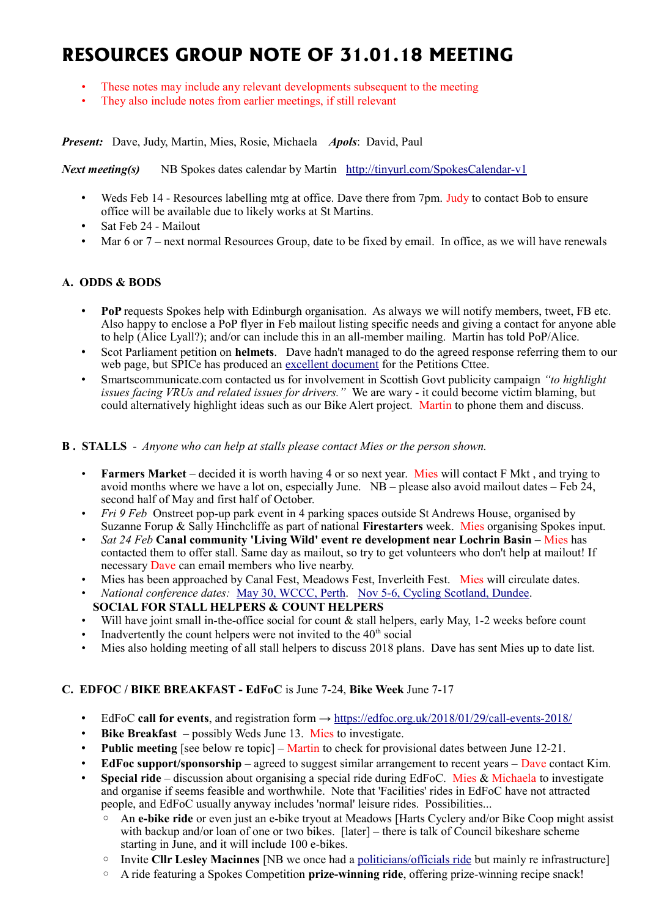# **RESOURCES GROUP NOTE OF 31.01.18 MEETING**

- These notes may include any relevant developments subsequent to the meeting
- They also include notes from earlier meetings, if still relevant

*Present:* Dave, Judy, Martin, Mies, Rosie, Michaela *Apols*: David, Paul

#### *Next meeting(s)* NB Spokes dates calendar by Martin <http://tinyurl.com/SpokesCalendar-v1>

- Weds Feb 14 Resources labelling mtg at office. Dave there from 7pm. Judy to contact Bob to ensure office will be available due to likely works at St Martins.
- Sat Feb 24 Mailout
- Mar 6 or 7 next normal Resources Group, date to be fixed by email. In office, as we will have renewals

# **A. ODDS & BODS**

- **PoP** requests Spokes help with Edinburgh organisation. As always we will notify members, tweet, FB etc. Also happy to enclose a PoP flyer in Feb mailout listing specific needs and giving a contact for anyone able to help (Alice Lyall?); and/or can include this in an all-member mailing. Martin has told PoP/Alice.
- Scot Parliament petition on **helmets**. Dave hadn't managed to do the agreed response referring them to our web page, but SPICe has produced an [excellent document](http://www.parliament.scot/ResearchBriefingsAndFactsheets/Petitions%20briefings%20S5/PB18-1679.pdf) for the Petitions Cttee.
- Smartscommunicate.com contacted us for involvement in Scottish Govt publicity campaign *"to highlight issues facing VRUs and related issues for drivers."* We are wary - it could become victim blaming, but could alternatively highlight ideas such as our Bike Alert project. Martin to phone them and discuss.

#### **B . STALLS** - *Anyone who can help at stalls please contact Mies or the person shown.*

- **Farmers Market** decided it is worth having 4 or so next year. Mies will contact F Mkt , and trying to avoid months where we have a lot on, especially June.  $NB$  – please also avoid mailout dates – Feb 24, second half of May and first half of October.
- *Fri 9 Feb* Onstreet pop-up park event in 4 parking spaces outside St Andrews House, organised by Suzanne Forup & Sally Hinchcliffe as part of national **Firestarters** week. Mies organising Spokes input.
- *Sat 24 Feb* **Canal community 'Living Wild' event re development near Lochrin Basin –** Mies has contacted them to offer stall. Same day as mailout, so try to get volunteers who don't help at mailout! If necessary Dave can email members who live nearby.
- Mies has been approached by Canal Fest, Meadows Fest, Inverleith Fest. Mies will circulate dates.
- *National conference dates:* [May 30, WCCC, Perth.](https://www.pathsforall.org.uk/pfa/get-involved/scotlands-national-active-travel-conference.html) [Nov 5-6, Cycling Scotland, Dundee.](http://mailchi.mp/cycling/early-bird-discount-ends-today-monday-2nd-october-2036965?e=df4f9c501f)
- **SOCIAL FOR STALL HELPERS & COUNT HELPERS**
- Will have joint small in-the-office social for count & stall helpers, early May, 1-2 weeks before count
- Inadvertently the count helpers were not invited to the  $40<sup>th</sup>$  social
- Mies also holding meeting of all stall helpers to discuss 2018 plans. Dave has sent Mies up to date list.

## **C. EDFOC / BIKE BREAKFAST - EdFoC** is June 7-24, **Bike Week** June 7-17

- EdFoC **call for events**, and registration form →<https://edfoc.org.uk/2018/01/29/call-events-2018/>
- **Bike Breakfast** possibly Weds June 13. Mies to investigate.
- **Public meeting** [see below re topic] Martin to check for provisional dates between June 12-21.
- **EdFoc support/sponsorship** agreed to suggest similar arrangement to recent years Dave contact Kim.
- **Special ride** discussion about organising a special ride during EdFoC. Mies & Michaela to investigate and organise if seems feasible and worthwhile. Note that 'Facilities' rides in EdFoC have not attracted people, and EdFoC usually anyway includes 'normal' leisure rides. Possibilities...
	- An **e-bike ride** or even just an e-bike tryout at Meadows [Harts Cyclery and/or Bike Coop might assist with backup and/or loan of one or two bikes. [later] – there is talk of Council bikeshare scheme starting in June, and it will include 100 e-bikes.
	- Invite **Cllr Lesley Macinnes** [NB we once had a [politicians/officials ride](http://www.spokes.org.uk/2010/06/politicians-bike-ride/) but mainly re infrastructure]
	- A ride featuring a Spokes Competition **prize-winning ride**, offering prize-winning recipe snack!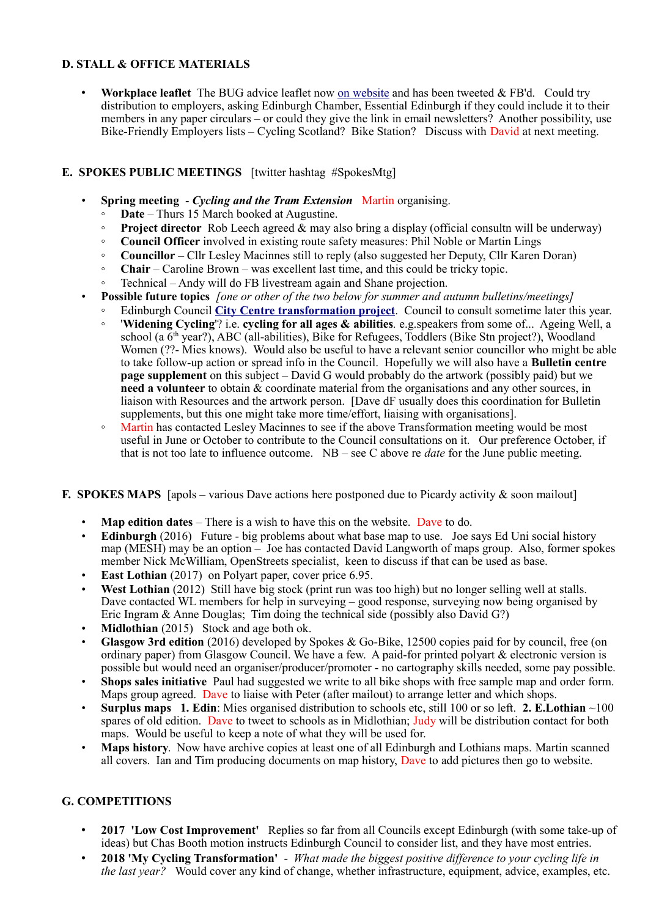# **D. STALL & OFFICE MATERIALS**

• Workplace leaflet The BUG advice leaflet now [on website](http://www.spokes.org.uk/documents/advice/workplace-cycling/) and has been tweeted & FB'd. Could try distribution to employers, asking Edinburgh Chamber, Essential Edinburgh if they could include it to their members in any paper circulars – or could they give the link in email newsletters? Another possibility, use Bike-Friendly Employers lists – Cycling Scotland? Bike Station? Discuss with David at next meeting.

## **E. SPOKES PUBLIC MEETINGS** [twitter hashtag #SpokesMtg]

- **Spring meeting** *Cycling and the Tram Extension* Martin organising.
	- **Date** Thurs 15 March booked at Augustine.
	- **Project director** Rob Leech agreed & may also bring a display (official consultn will be underway)
	- **Council Officer** involved in existing route safety measures: Phil Noble or Martin Lings
	- **Councillor** Cllr Lesley Macinnes still to reply (also suggested her Deputy, Cllr Karen Doran)
	- **Chair** Caroline Brown was excellent last time, and this could be tricky topic.
	- Technical Andy will do FB livestream again and Shane projection.
- **Possible future topics** *[one or other of the two below for summer and autumn bulletins/meetings]*
	- Edinburgh Council **[City Centre transformation project](http://www.spokes.org.uk/2017/11/transforming-picardy-leith-st-and-the-city-centre/)**. Council to consult sometime later this year.
	- '**Widening Cycling**'? i.e. **cycling for all ages & abilities***.* e.g.speakers from some of... Ageing Well, a school (a  $\bar{6}$ <sup>th</sup> year?), ABC (all-abilities), Bike for Refugees, Toddlers (Bike Stn project?), Woodland Women (??- Mies knows). Would also be useful to have a relevant senior councillor who might be able to take follow-up action or spread info in the Council. Hopefully we will also have a **Bulletin centre page supplement** on this subject – David G would probably do the artwork (possibly paid) but we **need a volunteer** to obtain & coordinate material from the organisations and any other sources, in liaison with Resources and the artwork person. [Dave dF usually does this coordination for Bulletin supplements, but this one might take more time/effort, liaising with organisations].
	- Martin has contacted Lesley Macinnes to see if the above Transformation meeting would be most useful in June or October to contribute to the Council consultations on it. Our preference October, if that is not too late to influence outcome. NB – see C above re *date* for the June public meeting.

#### **F. SPOKES MAPS** [apols – various Dave actions here postponed due to Picardy activity & soon mailout]

- **Map edition dates** There is a wish to have this on the website. Dave to do.
- **Edinburgh** (2016) Future big problems about what base map to use. Joe says Ed Uni social history map (MESH) may be an option – Joe has contacted David Langworth of maps group. Also, former spokes member Nick McWilliam, OpenStreets specialist, keen to discuss if that can be used as base.
- **East Lothian** (2017) on Polyart paper, cover price 6.95.
- West Lothian (2012) Still have big stock (print run was too high) but no longer selling well at stalls. Dave contacted WL members for help in surveying – good response, surveying now being organised by Eric Ingram & Anne Douglas; Tim doing the technical side (possibly also David G?)
- **Midlothian** (2015) Stock and age both ok.
- **Glasgow 3rd edition** (2016) developed by Spokes & Go-Bike, 12500 copies paid for by council, free (on ordinary paper) from Glasgow Council. We have a few. A paid-for printed polyart & electronic version is possible but would need an organiser/producer/promoter - no cartography skills needed, some pay possible.
- **Shops sales initiative** Paul had suggested we write to all bike shops with free sample map and order form. Maps group agreed. Dave to liaise with Peter (after mailout) to arrange letter and which shops.
- **Surplus maps 1. Edin**: Mies organised distribution to schools etc, still 100 or so left. **2. E.Lothian** ~100 spares of old edition. Dave to tweet to schools as in Midlothian; Judy will be distribution contact for both maps. Would be useful to keep a note of what they will be used for.
- **Maps history**. Now have archive copies at least one of all Edinburgh and Lothians maps. Martin scanned all covers. Ian and Tim producing documents on map history, Dave to add pictures then go to website.

## **G. COMPETITIONS**

- **2017 'Low Cost Improvement'** Replies so far from all Councils except Edinburgh (with some take-up of ideas) but Chas Booth motion instructs Edinburgh Council to consider list, and they have most entries.
- **2018 'My Cycling Transformation'**  *What made the biggest positive difference to your cycling life in the last year?* Would cover any kind of change, whether infrastructure, equipment, advice, examples, etc.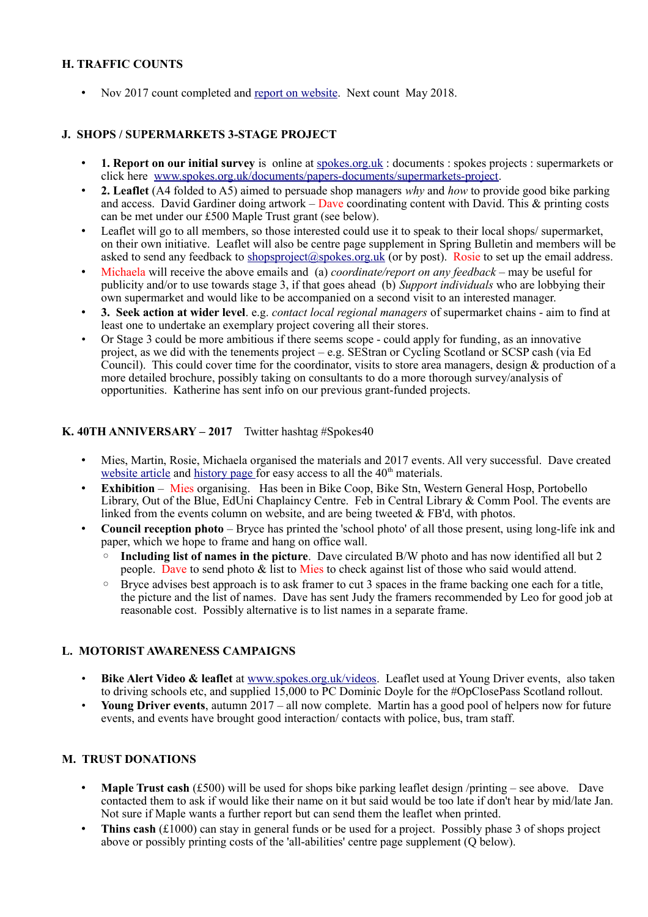## **H. TRAFFIC COUNTS**

• Nov 2017 count completed and [report on website.](http://www.spokes.org.uk/2017/11/traffic-count-highest-ever-november-bike-2/) Next count May 2018.

#### **J. SHOPS / SUPERMARKETS 3-STAGE PROJECT**

- **1. Report on our initial survey** is online at [spokes.org.uk](http://spokes.org.uk/) : documents : spokes projects : supermarkets or click here [www.spokes.org.uk/documents/papers-documents/supermarkets-project.](http://www.spokes.org.uk/documents/papers-documents/supermarkets-project)
- **2. Leaflet** (A4 folded to A5) aimed to persuade shop managers *why* and *how* to provide good bike parking and access. David Gardiner doing artwork – Dave coordinating content with David. This & printing costs can be met under our £500 Maple Trust grant (see below).
- Leaflet will go to all members, so those interested could use it to speak to their local shops/supermarket, on their own initiative. Leaflet will also be centre page supplement in Spring Bulletin and members will be asked to send any feedback to [shopsproject@spokes.org.uk](mailto:shopsproject@spokes.org.uk) (or by post). Rosie to set up the email address.
- Michaela will receive the above emails and (a) *coordinate/report on any feedback* may be useful for publicity and/or to use towards stage 3, if that goes ahead (b) *Support individuals* who are lobbying their own supermarket and would like to be accompanied on a second visit to an interested manager.
- **3. Seek action at wider level**. e.g. *contact local regional managers* of supermarket chains aim to find at least one to undertake an exemplary project covering all their stores.
- Or Stage 3 could be more ambitious if there seems scope could apply for funding, as an innovative project, as we did with the tenements project – e.g. SEStran or Cycling Scotland or SCSP cash (via Ed Council). This could cover time for the coordinator, visits to store area managers, design & production of a more detailed brochure, possibly taking on consultants to do a more thorough survey/analysis of opportunities. Katherine has sent info on our previous grant-funded projects.

#### **K. 40TH ANNIVERSARY – 2017** Twitter hashtag #Spokes40

- Mies, Martin, Rosie, Michaela organised the materials and 2017 events. All very successful. Dave created [website article](http://www.spokes.org.uk/2017/11/spokes-is-40/) and [history page f](http://www.spokes.org.uk/documents/odds-and-ends-may-be-exciting/spokes-history/)or easy access to all the 40<sup>th</sup> materials.
- **Exhibition** Mies organising. Has been in Bike Coop, Bike Stn, Western General Hosp, Portobello Library, Out of the Blue, EdUni Chaplaincy Centre. Feb in Central Library & Comm Pool. The events are linked from the events column on website, and are being tweeted & FB'd, with photos.
- **Council reception photo** Bryce has printed the 'school photo' of all those present, using long-life ink and paper, which we hope to frame and hang on office wall.
	- **Including list of names in the picture**. Dave circulated B/W photo and has now identified all but 2 people. Dave to send photo  $\&$  list to Mies to check against list of those who said would attend.
	- Bryce advises best approach is to ask framer to cut 3 spaces in the frame backing one each for a title, the picture and the list of names. Dave has sent Judy the framers recommended by Leo for good job at reasonable cost. Possibly alternative is to list names in a separate frame.

## **L. MOTORIST AWARENESS CAMPAIGNS**

- **Bike Alert Video & leaflet** at [www.spokes.org.uk/videos.](http://www.spokes.org.uk/videos) Leaflet used at Young Driver events, also taken to driving schools etc, and supplied 15,000 to PC Dominic Doyle for the #OpClosePass Scotland rollout.
- **Young Driver events**, autumn 2017 all now complete. Martin has a good pool of helpers now for future events, and events have brought good interaction/ contacts with police, bus, tram staff.

## **M. TRUST DONATIONS**

- **Maple Trust cash** (£500) will be used for shops bike parking leaflet design /printing see above. Dave contacted them to ask if would like their name on it but said would be too late if don't hear by mid/late Jan. Not sure if Maple wants a further report but can send them the leaflet when printed.
- **Thins cash** (£1000) can stay in general funds or be used for a project. Possibly phase 3 of shops project above or possibly printing costs of the 'all-abilities' centre page supplement (Q below).